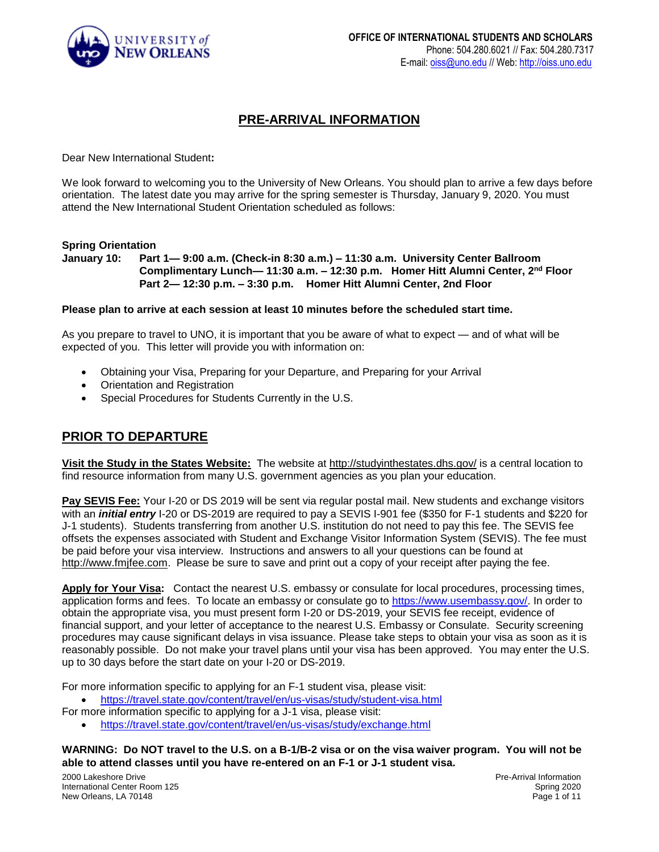

# **PRE-ARRIVAL INFORMATION**

Dear New International Student**:**

We look forward to welcoming you to the University of New Orleans. You should plan to arrive a few days before orientation. The latest date you may arrive for the spring semester is Thursday, January 9, 2020. You must attend the New International Student Orientation scheduled as follows:

#### **Spring Orientation**

**January 10: Part 1— 9:00 a.m. (Check-in 8:30 a.m.) – 11:30 a.m. University Center Ballroom Complimentary Lunch— 11:30 a.m. – 12:30 p.m. Homer Hitt Alumni Center, 2nd Floor Part 2— 12:30 p.m. – 3:30 p.m. Homer Hitt Alumni Center, 2nd Floor**

#### **Please plan to arrive at each session at least 10 minutes before the scheduled start time.**

As you prepare to travel to UNO, it is important that you be aware of what to expect — and of what will be expected of you. This letter will provide you with information on:

- Obtaining your Visa, Preparing for your Departure, and Preparing for your Arrival
- Orientation and Registration
- Special Procedures for Students Currently in the U.S.

## **PRIOR TO DEPARTURE**

**Visit the Study in the States Website:** The website at<http://studyinthestates.dhs.gov/> is a central location to find resource information from many U.S. government agencies as you plan your education.

**Pay SEVIS Fee:** Your I-20 or DS 2019 will be sent via regular postal mail. New students and exchange visitors with an *initial entry* I-20 or DS-2019 are required to pay a SEVIS I-901 fee (\$350 for F-1 students and \$220 for J-1 students). Students transferring from another U.S. institution do not need to pay this fee. The SEVIS fee offsets the expenses associated with Student and Exchange Visitor Information System (SEVIS). The fee must be paid before your visa interview. Instructions and answers to all your questions can be found at [http://www.fmjfee.com.](http://www.fmjfee.com/) Please be sure to save and print out a copy of your receipt after paying the fee.

**Apply for Your Visa:** Contact the nearest U.S. embassy or consulate for local procedures, processing times, application forms and fees. To locate an embassy or consulate go to [https://www.usembassy.gov/.](https://www.usembassy.gov/) In order to obtain the appropriate visa, you must present form I-20 or DS-2019, your SEVIS fee receipt, evidence of financial support, and your letter of acceptance to the nearest U.S. Embassy or Consulate. Security screening procedures may cause significant delays in visa issuance. Please take steps to obtain your visa as soon as it is reasonably possible. Do not make your travel plans until your visa has been approved. You may enter the U.S. up to 30 days before the start date on your I-20 or DS-2019.

For more information specific to applying for an F-1 student visa, please visit:

<https://travel.state.gov/content/travel/en/us-visas/study/student-visa.html>

For more information specific to applying for a J-1 visa, please visit:

<https://travel.state.gov/content/travel/en/us-visas/study/exchange.html>

#### **WARNING: Do NOT travel to the U.S. on a B-1/B-2 visa or on the visa waiver program. You will not be able to attend classes until you have re-entered on an F-1 or J-1 student visa.**

2000 Lakeshore Drive International Center Room 125 New Orleans, LA 70148

Pre-Arrival Information Spring 2020 Page 1 of 11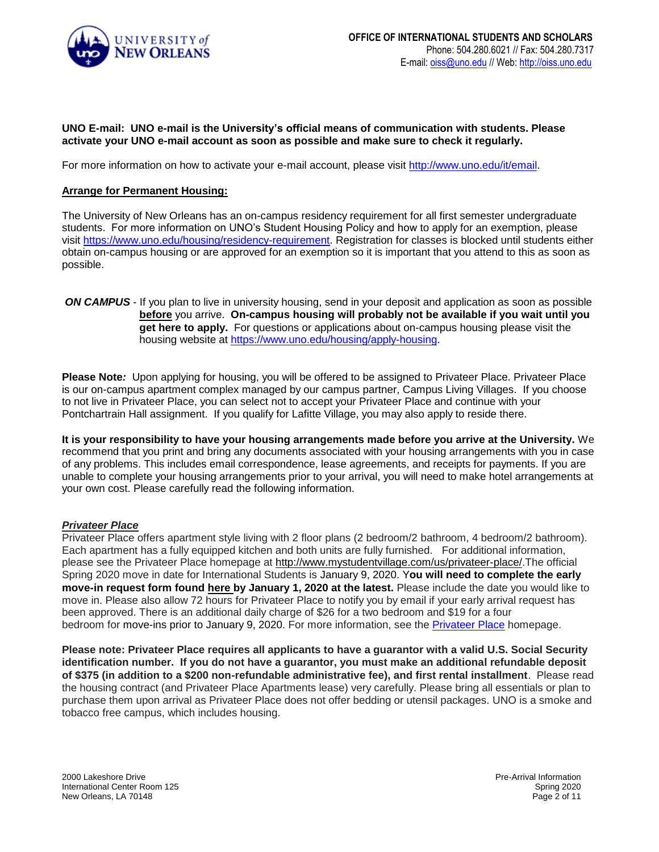

### **UNO E-mail: UNO e-mail is the University's official means of communication with students. Please activate your UNO e-mail account as soon as possible and make sure to check it regularly.**

For more information on how to activate your e-mail account, please visit [http://www.uno.edu/it/email.](http://www.uno.edu/it/email)

#### **Arrange for Permanent Housing:**

The University of New Orleans has an on-campus residency requirement for all first semester undergraduate students. For more information on UNO's Student Housing Policy and how to apply for an exemption, please visit [https://www.uno.edu/housing/residency-requirement.](https://www.uno.edu/housing/residency-requirement) Registration for classes is blocked until students either obtain on-campus housing or are approved for an exemption so it is important that you attend to this as soon as possible.

*ON CAMPUS* - If you plan to live in university housing, send in your deposit and application as soon as possible **before** you arrive. **On-campus housing will probably not be available if you wait until you get here to apply.** For questions or applications about on-campus housing please visit the housing website at [https://www.uno.edu/housing/apply-housing.](https://www.uno.edu/housing/apply-housing)

**Please Note***:* Upon applying for housing, you will be offered to be assigned to Privateer Place. Privateer Place is our on-campus apartment complex managed by our campus partner, Campus Living Villages. If you choose to not live in Privateer Place, you can select not to accept your Privateer Place and continue with your Pontchartrain Hall assignment. If you qualify for Lafitte Village, you may also apply to reside there.

**It is your responsibility to have your housing arrangements made before you arrive at the University.** We recommend that you print and bring any documents associated with your housing arrangements with you in case of any problems. This includes email correspondence, lease agreements, and receipts for payments. If you are unable to complete your housing arrangements prior to your arrival, you will need to make hotel arrangements at your own cost. Please carefully read the following information.

#### *Privateer Place*

Privateer Place offers apartment style living with 2 floor plans (2 bedroom/2 bathroom, 4 bedroom/2 bathroom). Each apartment has a fully equipped kitchen and both units are fully furnished. For additional information, please see the Privateer Place homepage at [http://www.mystudentvillage.com/us/privateer-place/.](https://nam05.safelinks.protection.outlook.com/?url=http%3A%2F%2Fwww.mystudentvillage.com%2Fus%2Fprivateer-place%2F&data=02%7C01%7Capopesc2%40uno.edu%7C4c46397613814bf33a4a08d75bc9ee29%7C31d4dbf540044469bfeedf294a9de150%7C0%7C1%7C637078795186483370&sdata=8u%2FjggCcMXaeFj1z5jjPl2qyE7%2F54ZCUTupdH1Agf8g%3D&reserved=0)The official Spring 2020 move in date for International Students is January 9, 2020. Y**ou will need to complete the early move-in request form found [here](https://nam05.safelinks.protection.outlook.com/?url=https%3A%2F%2Fwww.dropbox.com%2Fs%2F4kbjef7x6exg0c4%2FEarly%2520Move-In%2520Request%2520Form%2520-%2520NO%2520DATE.pdf%3Fdl%3D0&data=02%7C01%7Capopesc2%40uno.edu%7C4c46397613814bf33a4a08d75bc9ee29%7C31d4dbf540044469bfeedf294a9de150%7C0%7C1%7C637078795186493366&sdata=YYPQoDX0fNk2cS1ZjRC35SbkUH194PP%2Bh%2BElZcPFGrg%3D&reserved=0) by January 1, 2020 at the latest.** Please include the date you would like to move in. Please also allow 72 hours for Privateer Place to notify you by email if your early arrival request has been approved. There is an additional daily charge of \$26 for a two bedroom and \$19 for a four bedroom for move-ins prior to January 9, 2020. For more information, see the [Privateer Place](https://nam05.safelinks.protection.outlook.com/?url=https%3A%2F%2Fwww.mystudentvillage.com%2Fus%2Fprivateer-place%2F&data=02%7C01%7Capopesc2%40uno.edu%7C4c46397613814bf33a4a08d75bc9ee29%7C31d4dbf540044469bfeedf294a9de150%7C0%7C1%7C637078795186493366&sdata=xp4zSJtTbvmXjCTWBMlHqtEquzMKEvk1Hh%2BuzsU0n7I%3D&reserved=0) homepage.

**Please note: Privateer Place requires all applicants to have a guarantor with a valid U.S. Social Security identification number. If you do not have a guarantor, you must make an additional refundable deposit of \$375 (in addition to a \$200 non-refundable administrative fee), and first rental installment**. Please read the housing contract (and Privateer Place Apartments lease) very carefully. Please bring all essentials or plan to purchase them upon arrival as Privateer Place does not offer bedding or utensil packages. UNO is a smoke and tobacco free campus, which includes housing.

2000 Lakeshore Drive International Center Room 125 New Orleans, LA 70148

Pre-Arrival Information Spring 2020 Page 2 of 11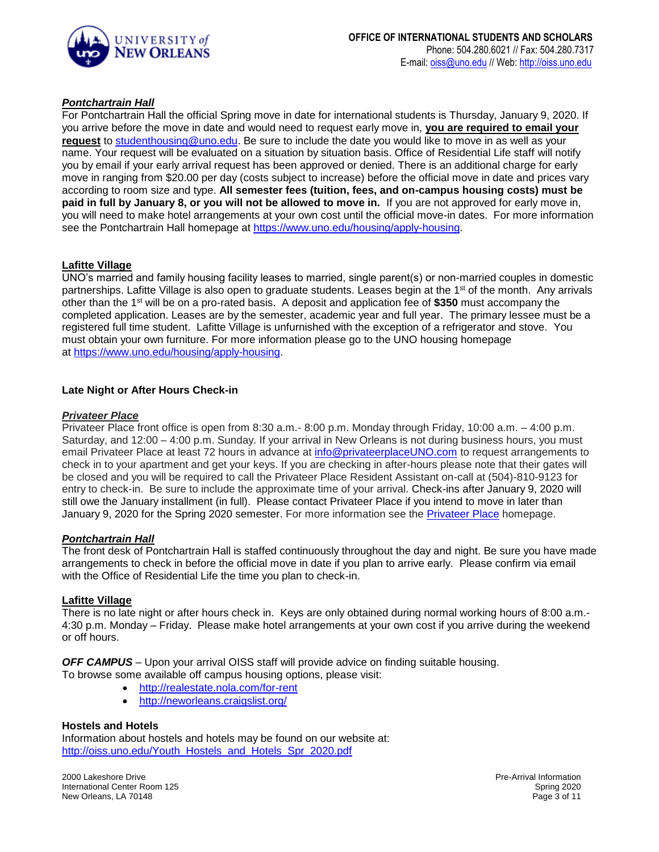

### *Pontchartrain Hall*

For Pontchartrain Hall the official Spring move in date for international students is Thursday, January 9, 2020. If you arrive before the move in date and would need to request early move in, **you are required to email your request** to [studenthousing@uno.edu.](mailto:studenthousing@uno.edu) Be sure to include the date you would like to move in as well as your name. Your request will be evaluated on a situation by situation basis. Office of Residential Life staff will notify you by email if your early arrival request has been approved or denied. There is an additional charge for early move in ranging from \$20.00 per day (costs subject to increase) before the official move in date and prices vary according to room size and type. **All semester fees (tuition, fees, and on-campus housing costs) must be paid in full by January 8, or you will not be allowed to move in.** If you are not approved for early move in, you will need to make hotel arrangements at your own cost until the official move-in dates. For more information see the Pontchartrain Hall homepage at [https://www.uno.edu/housing/apply-housing.](https://www.uno.edu/housing/apply-housing)

#### **Lafitte Village**

UNO's married and family housing facility leases to married, single parent(s) or non-married couples in domestic partnerships. Lafitte Village is also open to graduate students. Leases begin at the 1<sup>st</sup> of the month. Any arrivals other than the 1st will be on a pro-rated basis. A deposit and application fee of **\$350** must accompany the completed application. Leases are by the semester, academic year and full year. The primary lessee must be a registered full time student. Lafitte Village is unfurnished with the exception of a refrigerator and stove. You must obtain your own furniture. For more information please go to the UNO housing homepage at [https://www.uno.edu/housing/apply-housing.](https://www.uno.edu/housing/apply-housing)

#### **Late Night or After Hours Check-in**

#### *Privateer Place*

Privateer Place front office is open from 8:30 a.m.- 8:00 p.m. Monday through Friday, 10:00 a.m. – 4:00 p.m. Saturday, and 12:00 – 4:00 p.m. Sunday. If your arrival in New Orleans is not during business hours, you must email Privateer Place at least 72 hours in advance at [info@privateerplaceUNO.com](mailto:info@privateerplaceUNO.com) to request arrangements to check in to your apartment and get your keys. If you are checking in after-hours please note that their gates will be closed and you will be required to call the Privateer Place Resident Assistant on-call at (504)-810-9123 for entry to check-in. Be sure to include the approximate time of your arrival. Check-ins after January 9, 2020 will still owe the January installment (in full). Please contact Privateer Place if you intend to move in later than January 9, 2020 for the Spring 2020 semester. For more information see the [Privateer Place](https://nam05.safelinks.protection.outlook.com/?url=https%3A%2F%2Fwww.mystudentvillage.com%2Fus%2Fprivateer-place%2F&data=02%7C01%7Capopesc2%40uno.edu%7C4c46397613814bf33a4a08d75bc9ee29%7C31d4dbf540044469bfeedf294a9de150%7C0%7C1%7C637078795186503355&sdata=A2zrXHUAJQnWYGV9yQAXZnVufhYZcD2KKa65KQujF4Y%3D&reserved=0) homepage.

#### *Pontchartrain Hall*

The front desk of Pontchartrain Hall is staffed continuously throughout the day and night. Be sure you have made arrangements to check in before the official move in date if you plan to arrive early. Please confirm via email with the Office of Residential Life the time you plan to check-in.

#### **Lafitte Village**

There is no late night or after hours check in. Keys are only obtained during normal working hours of 8:00 a.m.- 4:30 p.m. Monday – Friday. Please make hotel arrangements at your own cost if you arrive during the weekend or off hours.

*OFF CAMPUS* – Upon your arrival OISS staff will provide advice on finding suitable housing.

To browse some available off campus housing options, please visit:

- <http://realestate.nola.com/for-rent>
- <http://neworleans.craigslist.org/>

#### **Hostels and Hotels**

Information about hostels and hotels may be found on our website at: [http://oiss.uno.edu/Youth\\_Hostels\\_and\\_Hotels\\_Spr\\_2020.pdf](http://oiss.uno.edu/Youth_Hostels_and_Hotels_Spr_2020.pdf)

2000 Lakeshore Drive International Center Room 125 New Orleans, LA 70148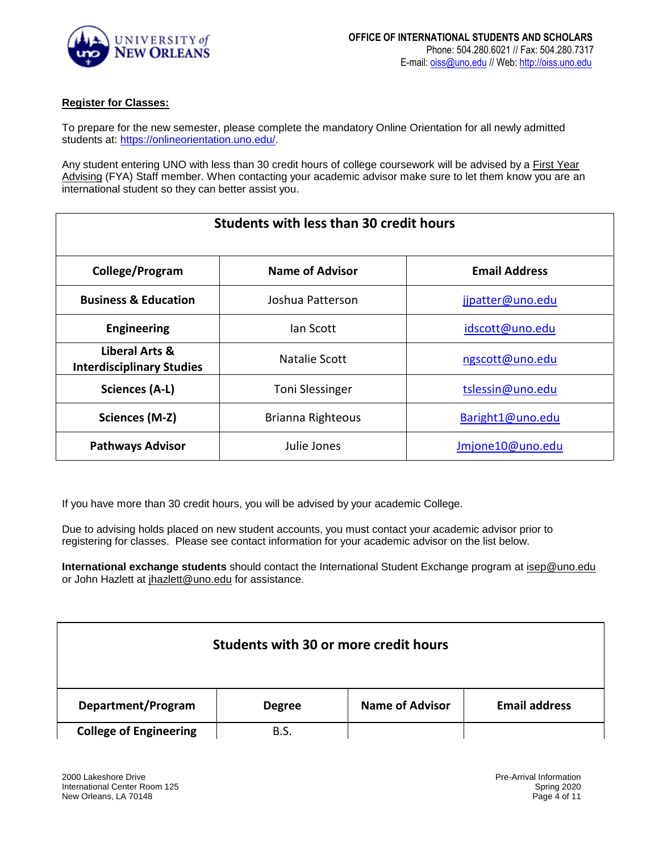

### **Register for Classes:**

To prepare for the new semester, please complete the mandatory Online Orientation for all newly admitted students at: [https://onlineorientation.uno.edu/.](https://onlineorientation.uno.edu/)

Any student entering UNO with less than 30 credit hours of college coursework will be advised by a **First Year** [Advising](http://www.uno.edu/first-year-advising/advisors.aspx) (FYA) Staff member. When contacting your academic advisor make sure to let them know you are an international student so they can better assist you.

| <b>Students with less than 30 credit hours</b>     |                                       |                      |
|----------------------------------------------------|---------------------------------------|----------------------|
| College/Program                                    | <b>Name of Advisor</b>                | <b>Email Address</b> |
| <b>Business &amp; Education</b>                    | Joshua Patterson                      | jjpatter@uno.edu     |
| <b>Engineering</b>                                 | lan Scott                             | idscott@uno.edu      |
| Liberal Arts &<br><b>Interdisciplinary Studies</b> | Natalie Scott                         | ngscott@uno.edu      |
| Sciences (A-L)                                     | <b>Toni Slessinger</b>                | tslessin@uno.edu     |
| Sciences (M-Z)                                     | Brianna Righteous<br>Baright1@uno.edu |                      |
| <b>Pathways Advisor</b>                            | Julie Jones                           | Jmjone10@uno.edu     |

If you have more than 30 credit hours, you will be advised by your academic College.

Due to advising holds placed on new student accounts, you must contact your academic advisor prior to registering for classes. Please see contact information for your academic advisor on the list below.

**International exchange students** should contact the International Student Exchange program at [isep@uno.edu](mailto:isep@uno.edu) or John Hazlett at [jhazlett@uno.edu](mailto:jhazlett@uno.edu) for assistance.

| Students with 30 or more credit hours |               |                        |                      |
|---------------------------------------|---------------|------------------------|----------------------|
| Department/Program                    | <b>Degree</b> | <b>Name of Advisor</b> | <b>Email address</b> |
| <b>College of Engineering</b>         | B.S.          |                        |                      |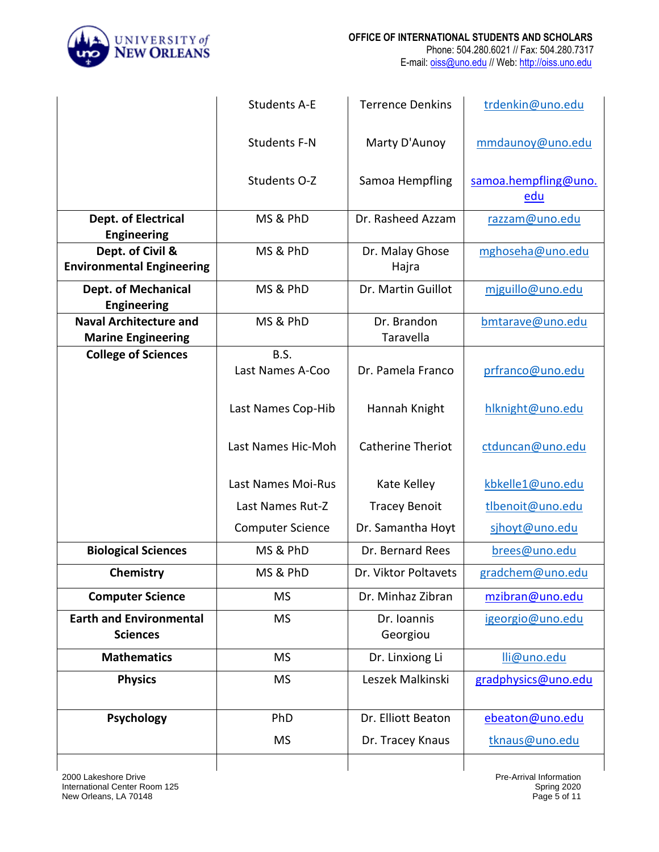

|                                                            | <b>Students A-E</b>      | <b>Terrence Denkins</b>  | trdenkin@uno.edu            |
|------------------------------------------------------------|--------------------------|--------------------------|-----------------------------|
|                                                            | <b>Students F-N</b>      | Marty D'Aunoy            | mmdaunoy@uno.edu            |
|                                                            | Students O-Z             | Samoa Hempfling          | samoa.hempfling@uno.<br>edu |
| Dept. of Electrical<br><b>Engineering</b>                  | MS & PhD                 | Dr. Rasheed Azzam        | razzam@uno.edu              |
| Dept. of Civil &<br><b>Environmental Engineering</b>       | MS & PhD                 | Dr. Malay Ghose<br>Hajra | mghoseha@uno.edu            |
| <b>Dept. of Mechanical</b><br><b>Engineering</b>           | MS & PhD                 | Dr. Martin Guillot       | miguillo@uno.edu            |
| <b>Naval Architecture and</b><br><b>Marine Engineering</b> | MS & PhD                 | Dr. Brandon<br>Taravella | bmtarave@uno.edu            |
| <b>College of Sciences</b>                                 | B.S.<br>Last Names A-Coo | Dr. Pamela Franco        | prfranco@uno.edu            |
|                                                            | Last Names Cop-Hib       | Hannah Knight            | hlknight@uno.edu            |
|                                                            | Last Names Hic-Moh       | <b>Catherine Theriot</b> | ctduncan@uno.edu            |
|                                                            | Last Names Moi-Rus       | Kate Kelley              | kbkelle1@uno.edu            |
|                                                            | Last Names Rut-Z         | <b>Tracey Benoit</b>     | tlbenoit@uno.edu            |
|                                                            | <b>Computer Science</b>  | Dr. Samantha Hoyt        | sjhoyt@uno.edu              |
| <b>Biological Sciences</b>                                 | MS & PhD                 | Dr. Bernard Rees         | brees@uno.edu               |
| Chemistry                                                  | MS & PhD                 | Dr. Viktor Poltavets     | gradchem@uno.edu            |
| <b>Computer Science</b>                                    | <b>MS</b>                | Dr. Minhaz Zibran        | mzibran@uno.edu             |
| <b>Earth and Environmental</b><br><b>Sciences</b>          | <b>MS</b>                | Dr. Ioannis<br>Georgiou  | igeorgio@uno.edu            |
| <b>Mathematics</b>                                         | <b>MS</b>                | Dr. Linxiong Li          | lli@uno.edu                 |
| <b>Physics</b>                                             | <b>MS</b>                | Leszek Malkinski         | gradphysics@uno.edu         |
| <b>Psychology</b>                                          | PhD                      | Dr. Elliott Beaton       | ebeaton@uno.edu             |
|                                                            | <b>MS</b>                | Dr. Tracey Knaus         | tknaus@uno.edu              |
|                                                            |                          |                          |                             |

Pre-Arrival Information Spring 2020 Page 5 of 11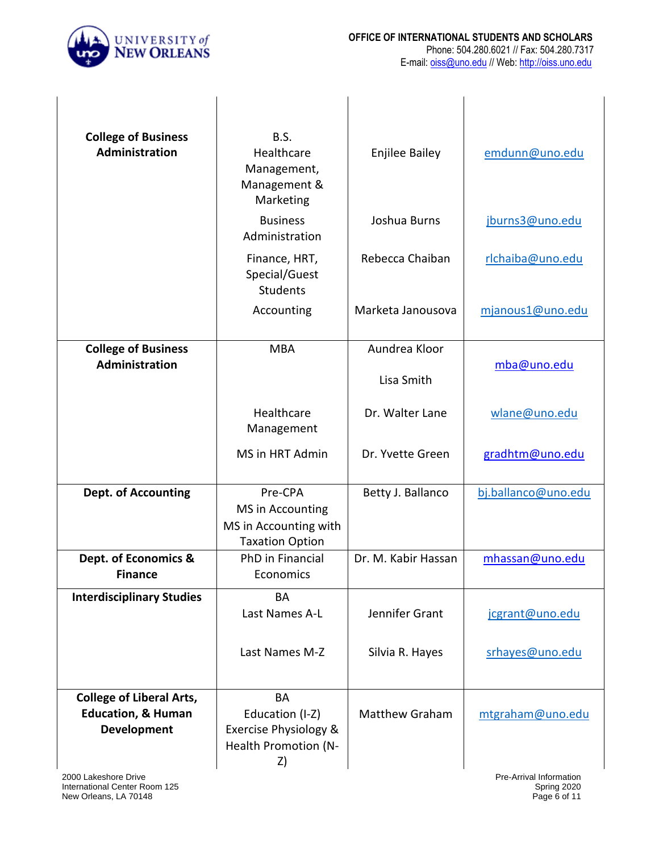

| <b>College of Business</b><br>Administration                                           | B.S.<br>Healthcare<br>Management,<br>Management &<br>Marketing                 | <b>Enjilee Bailey</b> | emdunn@uno.edu          |
|----------------------------------------------------------------------------------------|--------------------------------------------------------------------------------|-----------------------|-------------------------|
|                                                                                        | <b>Business</b><br>Administration                                              | Joshua Burns          | jburns3@uno.edu         |
|                                                                                        | Finance, HRT,<br>Special/Guest<br>Students                                     | Rebecca Chaiban       | rlchaiba@uno.edu        |
|                                                                                        | Accounting                                                                     | Marketa Janousova     | mjanous1@uno.edu        |
| <b>College of Business</b>                                                             | <b>MBA</b>                                                                     | Aundrea Kloor         |                         |
| <b>Administration</b>                                                                  |                                                                                | Lisa Smith            | mba@uno.edu             |
|                                                                                        | Healthcare<br>Management                                                       | Dr. Walter Lane       | wlane@uno.edu           |
|                                                                                        | MS in HRT Admin                                                                | Dr. Yvette Green      | gradhtm@uno.edu         |
| <b>Dept. of Accounting</b>                                                             | Pre-CPA<br>MS in Accounting<br>MS in Accounting with<br><b>Taxation Option</b> | Betty J. Ballanco     | bj.ballanco@uno.edu     |
| Dept. of Economics &<br><b>Finance</b>                                                 | PhD in Financial<br>Economics                                                  | Dr. M. Kabir Hassan   | mhassan@uno.edu         |
| <b>Interdisciplinary Studies</b>                                                       | BA<br>Last Names A-L                                                           | Jennifer Grant        | jcgrant@uno.edu         |
|                                                                                        | Last Names M-Z                                                                 | Silvia R. Hayes       | srhayes@uno.edu         |
| <b>College of Liberal Arts,</b><br><b>Education, &amp; Human</b><br><b>Development</b> | BA<br>Education (I-Z)<br>Exercise Physiology &<br>Health Promotion (N-<br>Z)   | <b>Matthew Graham</b> | mtgraham@uno.edu        |
| 2000 Lakeshore Drive                                                                   |                                                                                |                       | Pre-Arrival Information |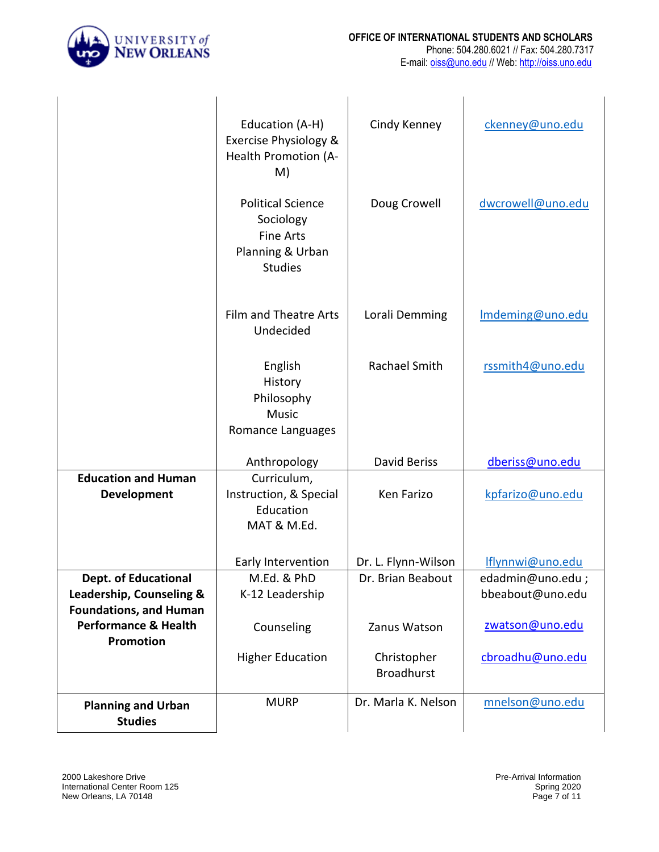

|                                                                                          | Education (A-H)<br>Exercise Physiology &<br>Health Promotion (A-<br>M)                          | Cindy Kenney                     | ckenney@uno.edu                      |
|------------------------------------------------------------------------------------------|-------------------------------------------------------------------------------------------------|----------------------------------|--------------------------------------|
|                                                                                          | <b>Political Science</b><br>Sociology<br><b>Fine Arts</b><br>Planning & Urban<br><b>Studies</b> | Doug Crowell                     | dwcrowell@uno.edu                    |
|                                                                                          | Film and Theatre Arts<br>Undecided                                                              | Lorali Demming                   | Imdeming@uno.edu                     |
|                                                                                          | English<br>History<br>Philosophy<br><b>Music</b><br>Romance Languages                           | Rachael Smith                    | rssmith4@uno.edu                     |
|                                                                                          | Anthropology                                                                                    | David Beriss                     | dberiss@uno.edu                      |
| <b>Education and Human</b><br>Development                                                | Curriculum,<br>Instruction, & Special<br>Education<br>MAT & M.Ed.                               | Ken Farizo                       | kpfarizo@uno.edu                     |
|                                                                                          | Early Intervention                                                                              | Dr. L. Flynn-Wilson              | Iflynnwi@uno.edu                     |
| <b>Dept. of Educational</b><br>Leadership, Counseling &<br><b>Foundations, and Human</b> | M.Ed. & PhD<br>K-12 Leadership                                                                  | Dr. Brian Beabout                | edadmin@uno.edu;<br>bbeabout@uno.edu |
| <b>Performance &amp; Health</b><br><b>Promotion</b>                                      | Counseling                                                                                      | Zanus Watson                     | zwatson@uno.edu                      |
|                                                                                          | <b>Higher Education</b>                                                                         | Christopher<br><b>Broadhurst</b> | cbroadhu@uno.edu                     |
| <b>Planning and Urban</b><br><b>Studies</b>                                              | <b>MURP</b>                                                                                     | Dr. Marla K. Nelson              | mnelson@uno.edu                      |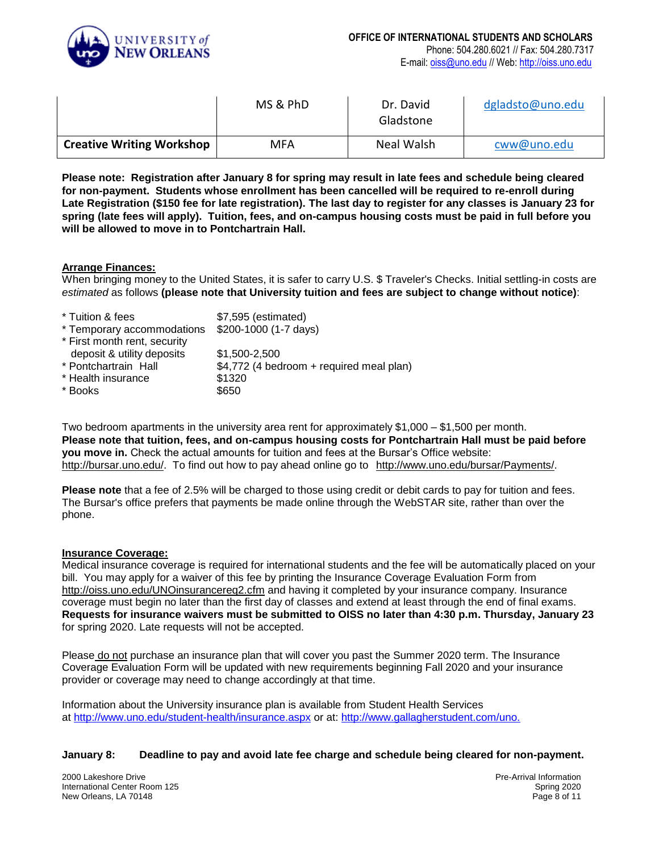

|                                  | MS & PhD | Dr. David<br>Gladstone | dgladsto@uno.edu |
|----------------------------------|----------|------------------------|------------------|
| <b>Creative Writing Workshop</b> | MFA      | Neal Walsh             | cww@uno.edu      |

**Please note: Registration after January 8 for spring may result in late fees and schedule being cleared for non-payment. Students whose enrollment has been cancelled will be required to re-enroll during Late Registration (\$150 fee for late registration). The last day to register for any classes is January 23 for spring (late fees will apply). Tuition, fees, and on-campus housing costs must be paid in full before you will be allowed to move in to Pontchartrain Hall.**

#### **Arrange Finances:**

When bringing money to the United States, it is safer to carry U.S. \$ Traveler's Checks. Initial settling-in costs are *estimated* as follows **(please note that University tuition and fees are subject to change without notice)**:

| * Tuition & fees             | \$7,595 (estimated)                      |
|------------------------------|------------------------------------------|
| * Temporary accommodations   | \$200-1000 (1-7 days)                    |
| * First month rent, security |                                          |
| deposit & utility deposits   | \$1,500-2,500                            |
| * Pontchartrain Hall         | \$4,772 (4 bedroom + required meal plan) |
| * Health insurance           | \$1320                                   |
| * Books                      | \$650                                    |
|                              |                                          |

Two bedroom apartments in the university area rent for approximately \$1,000 – \$1,500 per month. **Please note that tuition, fees, and on-campus housing costs for Pontchartrain Hall must be paid before you move in.** Check the actual amounts for tuition and fees at the Bursar's Office website: [http://bursar.uno.edu/.](http://bursar.uno.edu/) To find out how to pay ahead online go to [http://www.uno.edu/bursar/Payments/.](http://www.uno.edu/bursar/Payments/)

**Please note** that a fee of 2.5% will be charged to those using credit or debit cards to pay for tuition and fees. The Bursar's office prefers that payments be made online through the WebSTAR site, rather than over the phone.

#### **Insurance Coverage:**

Medical insurance coverage is required for international students and the fee will be automatically placed on your bill. You may apply for a waiver of this fee by printing the Insurance Coverage Evaluation Form from <http://oiss.uno.edu/UNOinsurancereq2.cfm> and having it completed by your insurance company. Insurance coverage must begin no later than the first day of classes and extend at least through the end of final exams. **Requests for insurance waivers must be submitted to OISS no later than 4:30 p.m. Thursday, January 23** for spring 2020. Late requests will not be accepted.

Please do not purchase an insurance plan that will cover you past the Summer 2020 term. The Insurance Coverage Evaluation Form will be updated with new requirements beginning Fall 2020 and your insurance provider or coverage may need to change accordingly at that time.

Information about the University insurance plan is available from Student Health Services at <http://www.uno.edu/student-health/insurance.aspx> or at: [http://www.gallagherstudent.com/uno.](https://na01.safelinks.protection.outlook.com/?url=https%3A%2F%2Fwww.gallagherstudent.com%2Fstudents%2Fview-brochure.php%3FidField%3D1414%26KosterWebSID%3Dg83if1f2brnhv0f043fgpoojq6&data=01%7C01%7C%7Cfd0298448f3b4cf80d0d08d5d5ffbc32%7C31d4dbf540044469bfeedf294a9de150%7C0&sdata=g8FPcCKwstsw%2BjNScCTofujpeGdgS%2Bcw3CUFjZ3%2Fzxc%3D&reserved=0)

#### **January 8: Deadline to pay and avoid late fee charge and schedule being cleared for non-payment.**

2000 Lakeshore Drive International Center Room 125 New Orleans, LA 70148

Pre-Arrival Information Spring 2020 Page 8 of 11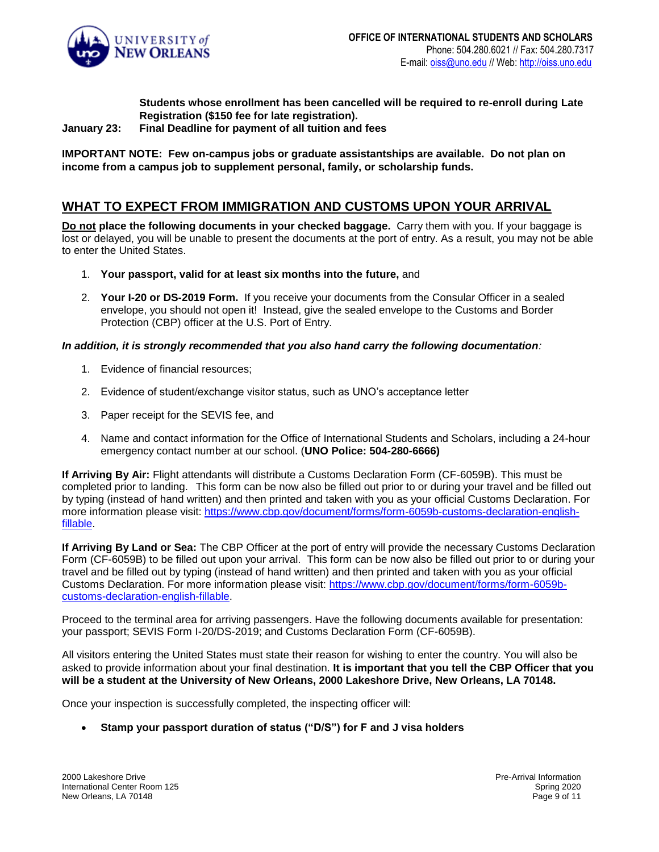

**Students whose enrollment has been cancelled will be required to re-enroll during Late Registration (\$150 fee for late registration).**

**January 23: Final Deadline for payment of all tuition and fees**

**IMPORTANT NOTE: Few on-campus jobs or graduate assistantships are available. Do not plan on income from a campus job to supplement personal, family, or scholarship funds.**

## **WHAT TO EXPECT FROM IMMIGRATION AND CUSTOMS UPON YOUR ARRIVAL**

**Do not place the following documents in your checked baggage.** Carry them with you. If your baggage is lost or delayed, you will be unable to present the documents at the port of entry. As a result, you may not be able to enter the United States.

- 1. **Your passport, valid for at least six months into the future,** and
- 2. **Your I-20 or DS-2019 Form.** If you receive your documents from the Consular Officer in a sealed envelope, you should not open it! Instead, give the sealed envelope to the Customs and Border Protection (CBP) officer at the U.S. Port of Entry.

*In addition, it is strongly recommended that you also hand carry the following documentation:*

- 1. Evidence of financial resources;
- 2. Evidence of student/exchange visitor status, such as UNO's acceptance letter
- 3. Paper receipt for the SEVIS fee, and
- 4. Name and contact information for the Office of International Students and Scholars, including a 24-hour emergency contact number at our school. (**UNO Police: 504-280-6666)**

**If Arriving By Air:** Flight attendants will distribute a Customs Declaration Form (CF-6059B). This must be completed prior to landing. This form can be now also be filled out prior to or during your travel and be filled out by typing (instead of hand written) and then printed and taken with you as your official Customs Declaration. For more information please visit: [https://www.cbp.gov/document/forms/form-6059b-customs-declaration-english](https://www.cbp.gov/document/forms/form-6059b-customs-declaration-english-fillable)[fillable.](https://www.cbp.gov/document/forms/form-6059b-customs-declaration-english-fillable)

**If Arriving By Land or Sea:** The CBP Officer at the port of entry will provide the necessary Customs Declaration Form (CF-6059B) to be filled out upon your arrival. This form can be now also be filled out prior to or during your travel and be filled out by typing (instead of hand written) and then printed and taken with you as your official Customs Declaration. For more information please visit: [https://www.cbp.gov/document/forms/form-6059b](https://www.cbp.gov/document/forms/form-6059b-customs-declaration-english-fillable)[customs-declaration-english-fillable.](https://www.cbp.gov/document/forms/form-6059b-customs-declaration-english-fillable)

Proceed to the terminal area for arriving passengers. Have the following documents available for presentation: your passport; SEVIS Form I-20/DS-2019; and Customs Declaration Form (CF-6059B).

All visitors entering the United States must state their reason for wishing to enter the country. You will also be asked to provide information about your final destination. **It is important that you tell the CBP Officer that you will be a student at the University of New Orleans, 2000 Lakeshore Drive, New Orleans, LA 70148.**

Once your inspection is successfully completed, the inspecting officer will:

**Stamp your passport duration of status ("D/S") for F and J visa holders**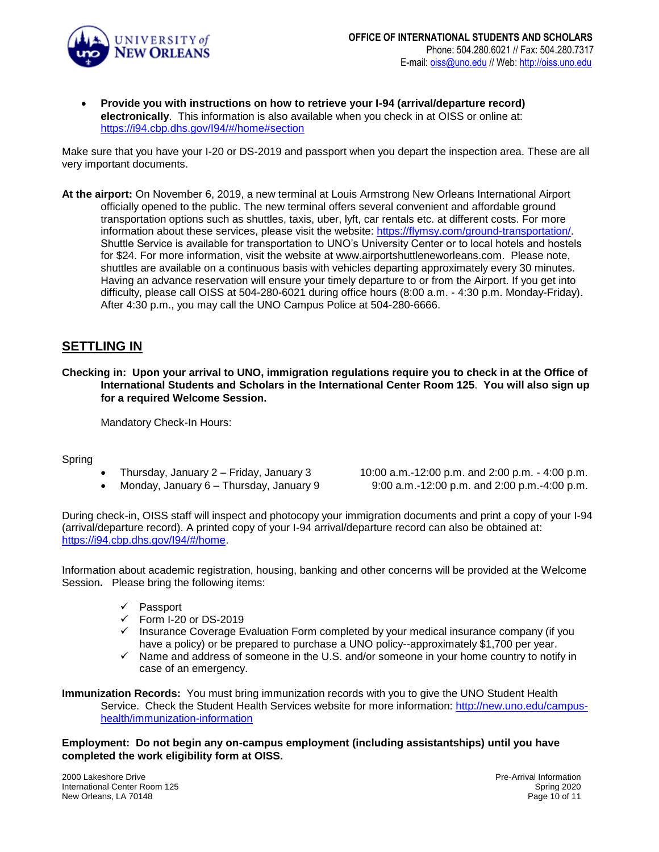

 **Provide you with instructions on how to retrieve your I-94 (arrival/departure record) electronically**. This information is also available when you check in at OISS or online at: <https://i94.cbp.dhs.gov/I94/#/home#section>

Make sure that you have your I-20 or DS-2019 and passport when you depart the inspection area. These are all very important documents.

**At the airport:** On November 6, 2019, a new terminal at Louis Armstrong New Orleans International Airport officially opened to the public. The new terminal offers several convenient and affordable ground transportation options such as shuttles, taxis, uber, lyft, car rentals etc. at different costs. For more information about these services, please visit the website: [https://flymsy.com/ground-transportation/.](https://flymsy.com/ground-transportation/) Shuttle Service is available for transportation to UNO's University Center or to local hotels and hostels for \$24. For more information, visit the website at [www.airportshuttleneworleans.com.](http://www.airportshuttleneworleans.com/) Please note, shuttles are available on a continuous basis with vehicles departing approximately every 30 minutes. Having an advance reservation will ensure your timely departure to or from the Airport. If you get into difficulty, please call OISS at 504-280-6021 during office hours (8:00 a.m. - 4:30 p.m. Monday-Friday). After 4:30 p.m., you may call the UNO Campus Police at 504-280-6666.

### **SETTLING IN**

**Checking in: Upon your arrival to UNO, immigration regulations require you to check in at the Office of International Students and Scholars in the International Center Room 125**. **You will also sign up for a required Welcome Session.**

Mandatory Check-In Hours:

Spring

- 
- 

 Thursday, January 2 – Friday, January 3 10:00 a.m.-12:00 p.m. and 2:00 p.m. - 4:00 p.m. Monday, January 6 – Thursday, January 9  $\qquad \qquad 9:00$  a.m.-12:00 p.m. and 2:00 p.m.-4:00 p.m.

During check-in, OISS staff will inspect and photocopy your immigration documents and print a copy of your I-94 (arrival/departure record). A printed copy of your I-94 arrival/departure record can also be obtained at: [https://i94.cbp.dhs.gov/I94/#/home.](https://i94.cbp.dhs.gov/I94/#/home)

Information about academic registration, housing, banking and other concerns will be provided at the Welcome Session**.** Please bring the following items:

- $\checkmark$  Passport
- $\checkmark$  Form I-20 or DS-2019
- $\checkmark$  Insurance Coverage Evaluation Form completed by your medical insurance company (if you have a policy) or be prepared to purchase a UNO policy--approximately \$1,700 per year.
- $\checkmark$  Name and address of someone in the U.S. and/or someone in your home country to notify in case of an emergency.

**Immunization Records:** You must bring immunization records with you to give the UNO Student Health Service. Check the Student Health Services website for more information: [http://new.uno.edu/campus](http://new.uno.edu/campus-health/immunization-information)[health/immunization-information](http://new.uno.edu/campus-health/immunization-information)

**Employment: Do not begin any on-campus employment (including assistantships) until you have completed the work eligibility form at OISS.**

2000 Lakeshore Drive International Center Room 125 New Orleans, LA 70148